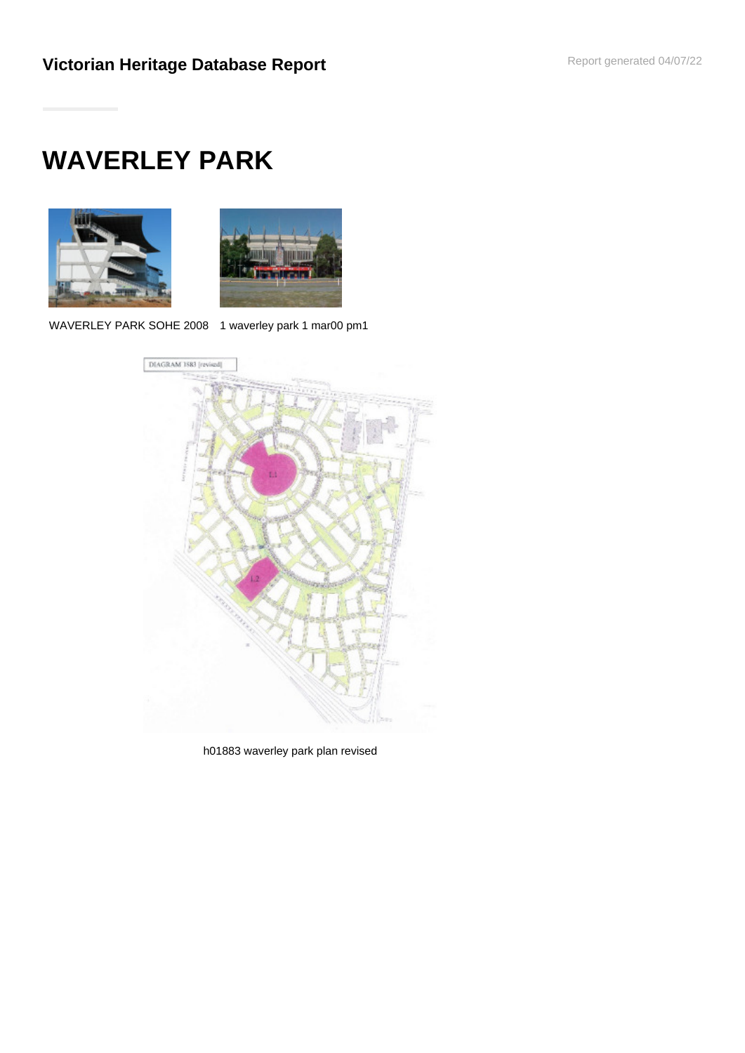# **WAVERLEY PARK**





WAVERLEY PARK SOHE 2008 1 waverley park 1 mar00 pm1



h01883 waverley park plan revised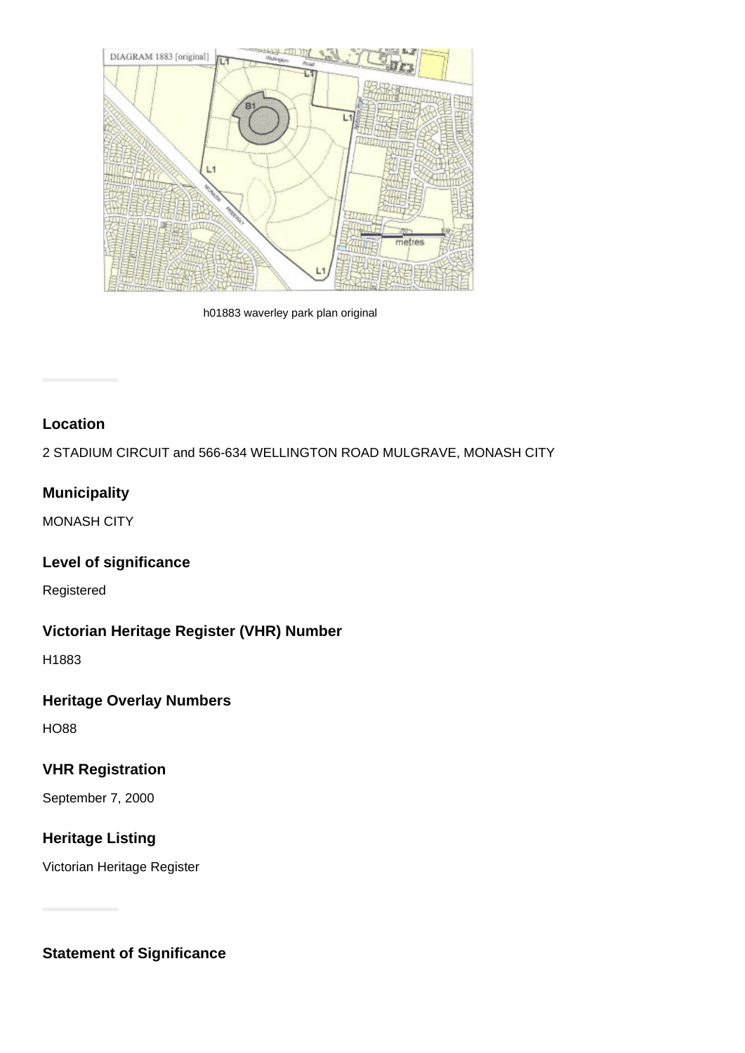

h01883 waverley park plan original

## **Location**

2 STADIUM CIRCUIT and 566-634 WELLINGTON ROAD MULGRAVE, MONASH CITY

# **Municipality**

MONASH CITY

# **Level of significance**

Registered

# **Victorian Heritage Register (VHR) Number**

H1883

# **Heritage Overlay Numbers**

HO88

## **VHR Registration**

September 7, 2000

# **Heritage Listing**

Victorian Heritage Register

**Statement of Significance**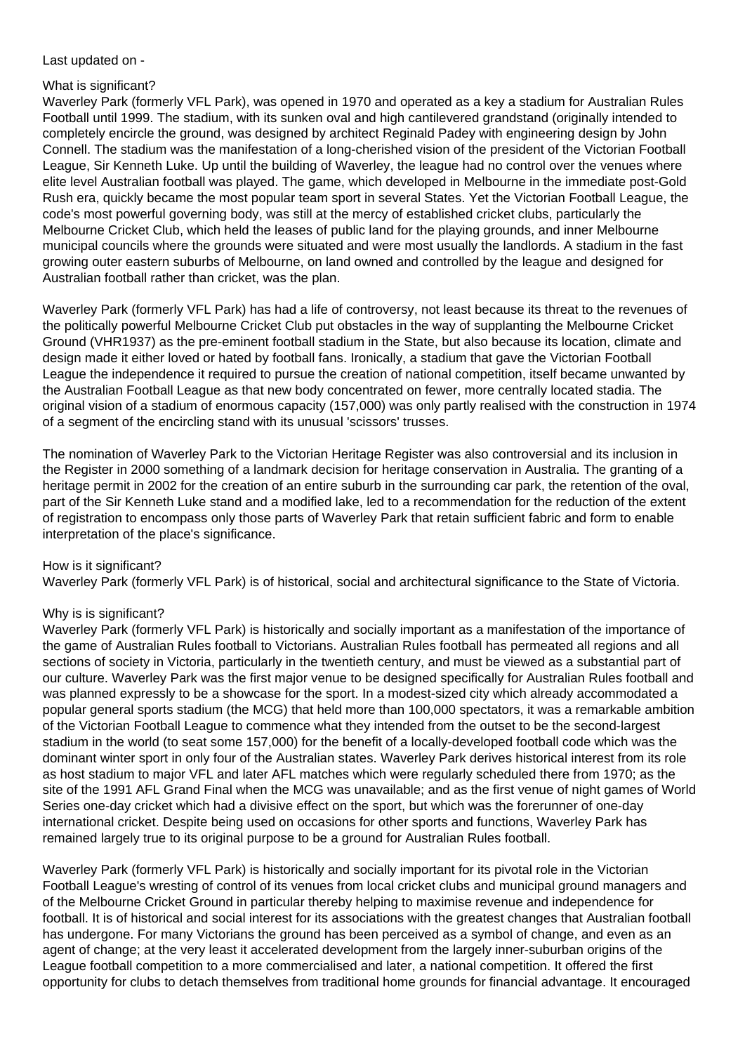Last updated on -

#### What is significant?

Waverley Park (formerly VFL Park), was opened in 1970 and operated as a key a stadium for Australian Rules Football until 1999. The stadium, with its sunken oval and high cantilevered grandstand (originally intended to completely encircle the ground, was designed by architect Reginald Padey with engineering design by John Connell. The stadium was the manifestation of a long-cherished vision of the president of the Victorian Football League, Sir Kenneth Luke. Up until the building of Waverley, the league had no control over the venues where elite level Australian football was played. The game, which developed in Melbourne in the immediate post-Gold Rush era, quickly became the most popular team sport in several States. Yet the Victorian Football League, the code's most powerful governing body, was still at the mercy of established cricket clubs, particularly the Melbourne Cricket Club, which held the leases of public land for the playing grounds, and inner Melbourne municipal councils where the grounds were situated and were most usually the landlords. A stadium in the fast growing outer eastern suburbs of Melbourne, on land owned and controlled by the league and designed for Australian football rather than cricket, was the plan.

Waverley Park (formerly VFL Park) has had a life of controversy, not least because its threat to the revenues of the politically powerful Melbourne Cricket Club put obstacles in the way of supplanting the Melbourne Cricket Ground (VHR1937) as the pre-eminent football stadium in the State, but also because its location, climate and design made it either loved or hated by football fans. Ironically, a stadium that gave the Victorian Football League the independence it required to pursue the creation of national competition, itself became unwanted by the Australian Football League as that new body concentrated on fewer, more centrally located stadia. The original vision of a stadium of enormous capacity (157,000) was only partly realised with the construction in 1974 of a segment of the encircling stand with its unusual 'scissors' trusses.

The nomination of Waverley Park to the Victorian Heritage Register was also controversial and its inclusion in the Register in 2000 something of a landmark decision for heritage conservation in Australia. The granting of a heritage permit in 2002 for the creation of an entire suburb in the surrounding car park, the retention of the oval, part of the Sir Kenneth Luke stand and a modified lake, led to a recommendation for the reduction of the extent of registration to encompass only those parts of Waverley Park that retain sufficient fabric and form to enable interpretation of the place's significance.

#### How is it significant?

Waverley Park (formerly VFL Park) is of historical, social and architectural significance to the State of Victoria.

## Why is is significant?

Waverley Park (formerly VFL Park) is historically and socially important as a manifestation of the importance of the game of Australian Rules football to Victorians. Australian Rules football has permeated all regions and all sections of society in Victoria, particularly in the twentieth century, and must be viewed as a substantial part of our culture. Waverley Park was the first major venue to be designed specifically for Australian Rules football and was planned expressly to be a showcase for the sport. In a modest-sized city which already accommodated a popular general sports stadium (the MCG) that held more than 100,000 spectators, it was a remarkable ambition of the Victorian Football League to commence what they intended from the outset to be the second-largest stadium in the world (to seat some 157,000) for the benefit of a locally-developed football code which was the dominant winter sport in only four of the Australian states. Waverley Park derives historical interest from its role as host stadium to major VFL and later AFL matches which were regularly scheduled there from 1970; as the site of the 1991 AFL Grand Final when the MCG was unavailable; and as the first venue of night games of World Series one-day cricket which had a divisive effect on the sport, but which was the forerunner of one-day international cricket. Despite being used on occasions for other sports and functions, Waverley Park has remained largely true to its original purpose to be a ground for Australian Rules football.

Waverley Park (formerly VFL Park) is historically and socially important for its pivotal role in the Victorian Football League's wresting of control of its venues from local cricket clubs and municipal ground managers and of the Melbourne Cricket Ground in particular thereby helping to maximise revenue and independence for football. It is of historical and social interest for its associations with the greatest changes that Australian football has undergone. For many Victorians the ground has been perceived as a symbol of change, and even as an agent of change; at the very least it accelerated development from the largely inner-suburban origins of the League football competition to a more commercialised and later, a national competition. It offered the first opportunity for clubs to detach themselves from traditional home grounds for financial advantage. It encouraged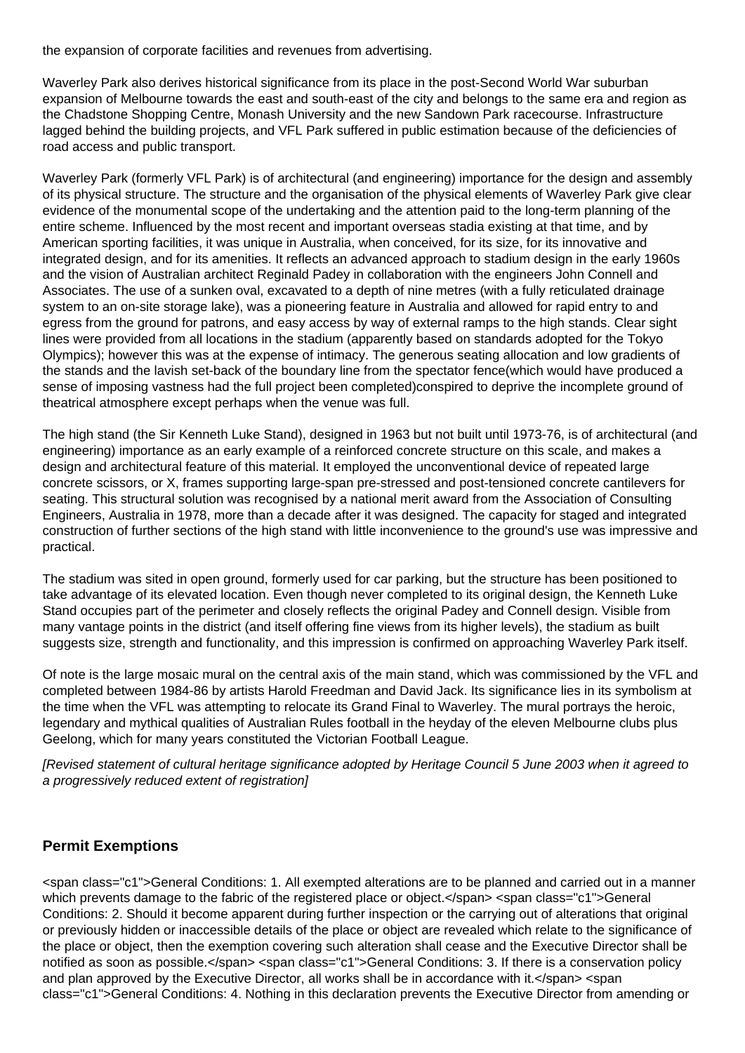the expansion of corporate facilities and revenues from advertising.

Waverley Park also derives historical significance from its place in the post-Second World War suburban expansion of Melbourne towards the east and south-east of the city and belongs to the same era and region as the Chadstone Shopping Centre, Monash University and the new Sandown Park racecourse. Infrastructure lagged behind the building projects, and VFL Park suffered in public estimation because of the deficiencies of road access and public transport.

Waverley Park (formerly VFL Park) is of architectural (and engineering) importance for the design and assembly of its physical structure. The structure and the organisation of the physical elements of Waverley Park give clear evidence of the monumental scope of the undertaking and the attention paid to the long-term planning of the entire scheme. Influenced by the most recent and important overseas stadia existing at that time, and by American sporting facilities, it was unique in Australia, when conceived, for its size, for its innovative and integrated design, and for its amenities. It reflects an advanced approach to stadium design in the early 1960s and the vision of Australian architect Reginald Padey in collaboration with the engineers John Connell and Associates. The use of a sunken oval, excavated to a depth of nine metres (with a fully reticulated drainage system to an on-site storage lake), was a pioneering feature in Australia and allowed for rapid entry to and egress from the ground for patrons, and easy access by way of external ramps to the high stands. Clear sight lines were provided from all locations in the stadium (apparently based on standards adopted for the Tokyo Olympics); however this was at the expense of intimacy. The generous seating allocation and low gradients of the stands and the lavish set-back of the boundary line from the spectator fence(which would have produced a sense of imposing vastness had the full project been completed)conspired to deprive the incomplete ground of theatrical atmosphere except perhaps when the venue was full.

The high stand (the Sir Kenneth Luke Stand), designed in 1963 but not built until 1973-76, is of architectural (and engineering) importance as an early example of a reinforced concrete structure on this scale, and makes a design and architectural feature of this material. It employed the unconventional device of repeated large concrete scissors, or X, frames supporting large-span pre-stressed and post-tensioned concrete cantilevers for seating. This structural solution was recognised by a national merit award from the Association of Consulting Engineers, Australia in 1978, more than a decade after it was designed. The capacity for staged and integrated construction of further sections of the high stand with little inconvenience to the ground's use was impressive and practical.

The stadium was sited in open ground, formerly used for car parking, but the structure has been positioned to take advantage of its elevated location. Even though never completed to its original design, the Kenneth Luke Stand occupies part of the perimeter and closely reflects the original Padey and Connell design. Visible from many vantage points in the district (and itself offering fine views from its higher levels), the stadium as built suggests size, strength and functionality, and this impression is confirmed on approaching Waverley Park itself.

Of note is the large mosaic mural on the central axis of the main stand, which was commissioned by the VFL and completed between 1984-86 by artists Harold Freedman and David Jack. Its significance lies in its symbolism at the time when the VFL was attempting to relocate its Grand Final to Waverley. The mural portrays the heroic, legendary and mythical qualities of Australian Rules football in the heyday of the eleven Melbourne clubs plus Geelong, which for many years constituted the Victorian Football League.

[Revised statement of cultural heritage significance adopted by Heritage Council 5 June 2003 when it agreed to a progressively reduced extent of registration]

# **Permit Exemptions**

<span class="c1">General Conditions: 1. All exempted alterations are to be planned and carried out in a manner which prevents damage to the fabric of the registered place or object.</span> <span class="c1">General Conditions: 2. Should it become apparent during further inspection or the carrying out of alterations that original or previously hidden or inaccessible details of the place or object are revealed which relate to the significance of the place or object, then the exemption covering such alteration shall cease and the Executive Director shall be notified as soon as possible.</span> <span class="c1">General Conditions: 3. If there is a conservation policy and plan approved by the Executive Director, all works shall be in accordance with it.</span> <span class="c1">General Conditions: 4. Nothing in this declaration prevents the Executive Director from amending or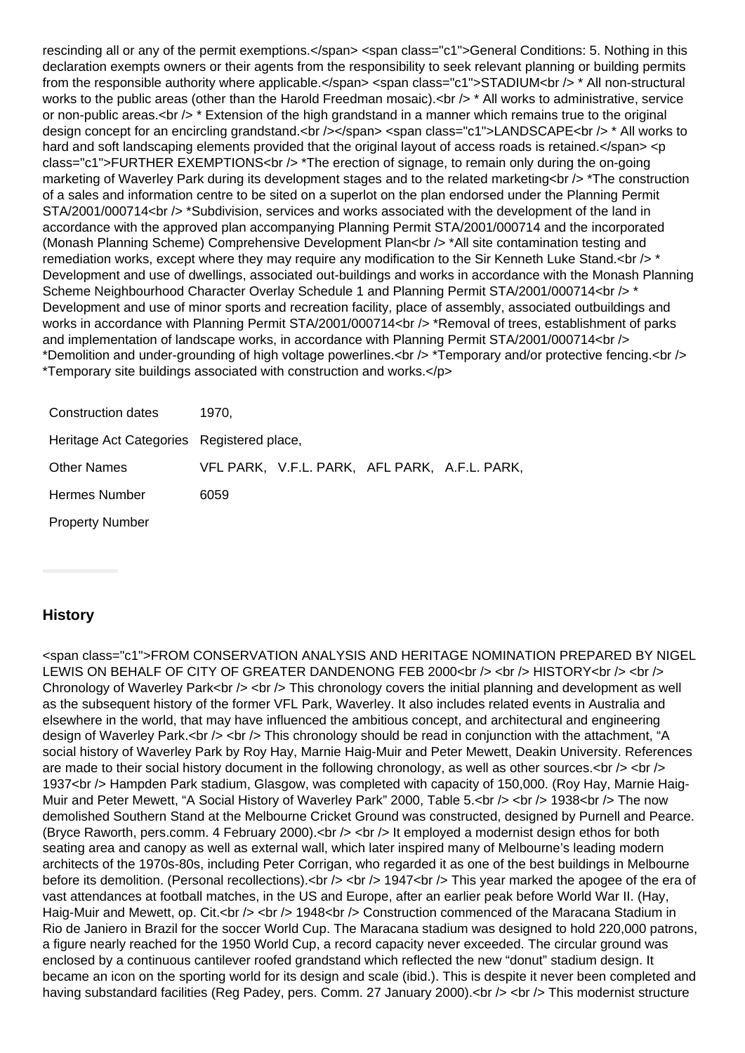rescinding all or any of the permit exemptions.</span> <span class="c1">General Conditions: 5. Nothing in this declaration exempts owners or their agents from the responsibility to seek relevant planning or building permits from the responsible authority where applicable.</span> <span class="c1">STADIUM<br/>chr />\* All non-structural works to the public areas (other than the Harold Freedman mosaic).<br />> \* All works to administrative, service or non-public areas.<br  $/$  \* Extension of the high grandstand in a manner which remains true to the original design concept for an encircling grandstand.<br />>/>></span><span class="c1">LANDSCAPE<br />>/>> \* All works to hard and soft landscaping elements provided that the original layout of access roads is retained.</span> <p class="c1">FURTHER EXEMPTIONS<br /> \*The erection of signage, to remain only during the on-going marketing of Waverley Park during its development stages and to the related marketing<br />  $\geq$  \*The construction of a sales and information centre to be sited on a superlot on the plan endorsed under the Planning Permit STA/2001/000714<br /> \*Subdivision, services and works associated with the development of the land in accordance with the approved plan accompanying Planning Permit STA/2001/000714 and the incorporated (Monash Planning Scheme) Comprehensive Development Plan<br />
thetal site contamination testing and remediation works, except where they may require any modification to the Sir Kenneth Luke Stand.<br  $\gamma$  \* Development and use of dwellings, associated out-buildings and works in accordance with the Monash Planning Scheme Neighbourhood Character Overlay Schedule 1 and Planning Permit STA/2001/000714<br />
\*\* Development and use of minor sports and recreation facility, place of assembly, associated outbuildings and works in accordance with Planning Permit STA/2001/000714<br />  $\geq$  \*Removal of trees, establishment of parks and implementation of landscape works, in accordance with Planning Permit STA/2001/000714<br /> \*Demolition and under-grounding of high voltage powerlines.<br /> \*Temporary and/or protective fencing.<br /> \*Temporary site buildings associated with construction and works.</p>

| Construction dates                        | 1970. |                                               |  |  |
|-------------------------------------------|-------|-----------------------------------------------|--|--|
| Heritage Act Categories Registered place, |       |                                               |  |  |
| <b>Other Names</b>                        |       | VFL PARK, V.F.L. PARK, AFL PARK, A.F.L. PARK, |  |  |
| Hermes Number                             | 6059  |                                               |  |  |
| <b>Property Number</b>                    |       |                                               |  |  |

## **History**

<span class="c1">FROM CONSERVATION ANALYSIS AND HERITAGE NOMINATION PREPARED BY NIGEL LEWIS ON BEHALF OF CITY OF GREATER DANDENONG FEB 2000<br />> /> <br /> HISTORY<br />>/> <br /> Chronology of Waverley Park<br />> <br />> <br />This chronology covers the initial planning and development as well as the subsequent history of the former VFL Park, Waverley. It also includes related events in Australia and elsewhere in the world, that may have influenced the ambitious concept, and architectural and engineering design of Waverley Park.<br />> <br />> This chronology should be read in conjunction with the attachment, "A social history of Waverley Park by Roy Hay, Marnie Haig-Muir and Peter Mewett, Deakin University. References are made to their social history document in the following chronology, as well as other sources. $\langle$ br  $/$ > $\langle$ br  $/$ > $\rangle$ 1937<br /> Hampden Park stadium, Glasgow, was completed with capacity of 150,000. (Roy Hay, Marnie Haig-Muir and Peter Mewett, "A Social History of Waverley Park" 2000, Table 5.<br />> < br />> < 1938<br />br /> The now demolished Southern Stand at the Melbourne Cricket Ground was constructed, designed by Purnell and Pearce. (Bryce Raworth, pers.comm. 4 February 2000).<br /> <br /> It employed a modernist design ethos for both seating area and canopy as well as external wall, which later inspired many of Melbourne's leading modern architects of the 1970s-80s, including Peter Corrigan, who regarded it as one of the best buildings in Melbourne before its demolition. (Personal recollections).  $\text{cbr} \rightarrow \text{cbr} \rightarrow 1947 \text{cbr} \rightarrow \text{This year marked the apogee of the era of}$ vast attendances at football matches, in the US and Europe, after an earlier peak before World War II. (Hay, Haig-Muir and Mewett, op. Cit.<br />>  $\lt$  /> 1948<br />> Construction commenced of the Maracana Stadium in Rio de Janiero in Brazil for the soccer World Cup. The Maracana stadium was designed to hold 220,000 patrons, a figure nearly reached for the 1950 World Cup, a record capacity never exceeded. The circular ground was enclosed by a continuous cantilever roofed grandstand which reflected the new "donut" stadium design. It became an icon on the sporting world for its design and scale (ibid.). This is despite it never been completed and having substandard facilities (Reg Padey, pers. Comm. 27 January 2000). < br /> < br /> This modernist structure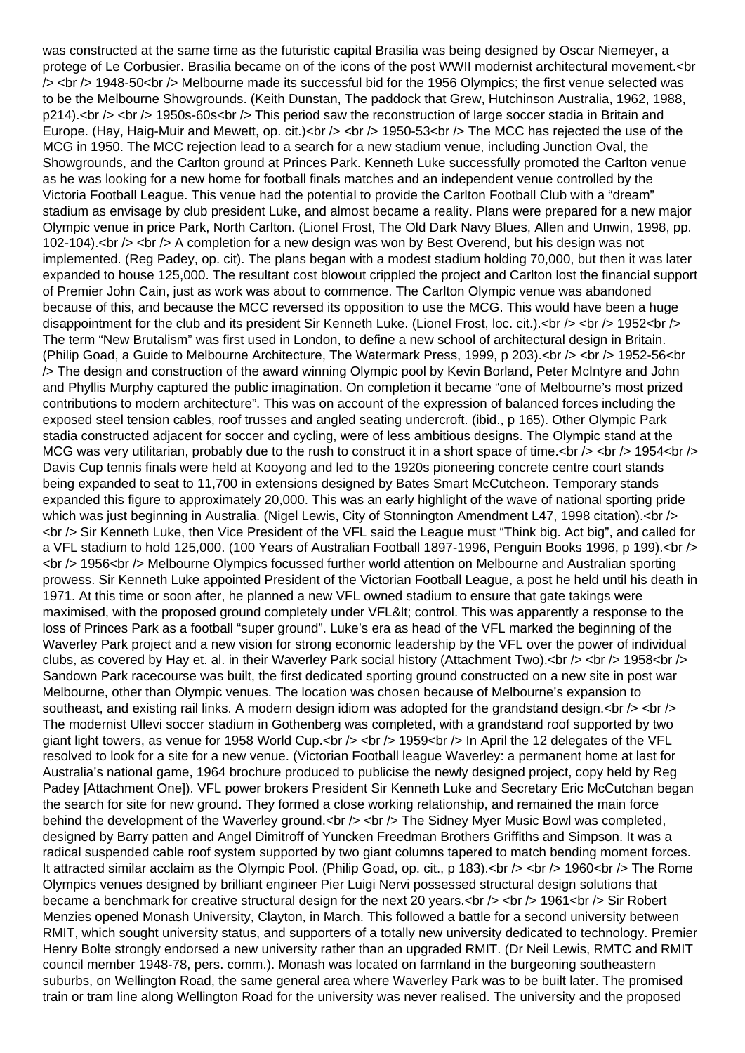was constructed at the same time as the futuristic capital Brasilia was being designed by Oscar Niemeyer, a protege of Le Corbusier. Brasilia became on of the icons of the post WWII modernist architectural movement.<br />
the internal movement.<<r />
Internal movement.<<r />
Internal movement.<<r />
Internal movement.<< <a>
Inte /> <br /> 1948-50<br /> Melbourne made its successful bid for the 1956 Olympics; the first venue selected was to be the Melbourne Showgrounds. (Keith Dunstan, The paddock that Grew, Hutchinson Australia, 1962, 1988, p214).<br /> <br /> 1950s-60s<br />> This period saw the reconstruction of large soccer stadia in Britain and Europe. (Hay, Haig-Muir and Mewett, op. cit.)<br />>  $\zeta$  /> 1950-53<br /> The MCC has rejected the use of the MCG in 1950. The MCC rejection lead to a search for a new stadium venue, including Junction Oval, the Showgrounds, and the Carlton ground at Princes Park. Kenneth Luke successfully promoted the Carlton venue as he was looking for a new home for football finals matches and an independent venue controlled by the Victoria Football League. This venue had the potential to provide the Carlton Football Club with a "dream" stadium as envisage by club president Luke, and almost became a reality. Plans were prepared for a new major Olympic venue in price Park, North Carlton. (Lionel Frost, The Old Dark Navy Blues, Allen and Unwin, 1998, pp. 102-104).<br />> <br />> A completion for a new design was won by Best Overend, but his design was not implemented. (Reg Padey, op. cit). The plans began with a modest stadium holding 70,000, but then it was later expanded to house 125,000. The resultant cost blowout crippled the project and Carlton lost the financial support of Premier John Cain, just as work was about to commence. The Carlton Olympic venue was abandoned because of this, and because the MCC reversed its opposition to use the MCG. This would have been a huge disappointment for the club and its president Sir Kenneth Luke. (Lionel Frost, loc. cit.).  $\langle$ br />  $\langle$  1952 $\langle$ br /> The term "New Brutalism" was first used in London, to define a new school of architectural design in Britain. (Philip Goad, a Guide to Melbourne Architecture, The Watermark Press, 1999, p 203).<br />> <br />> <br /> 1952-56<br />br /> The design and construction of the award winning Olympic pool by Kevin Borland, Peter McIntyre and John and Phyllis Murphy captured the public imagination. On completion it became "one of Melbourne's most prized contributions to modern architecture". This was on account of the expression of balanced forces including the exposed steel tension cables, roof trusses and angled seating undercroft. (ibid., p 165). Other Olympic Park stadia constructed adjacent for soccer and cycling, were of less ambitious designs. The Olympic stand at the MCG was very utilitarian, probably due to the rush to construct it in a short space of time.<br />> <br />> <br />> 1954<br />> Davis Cup tennis finals were held at Kooyong and led to the 1920s pioneering concrete centre court stands being expanded to seat to 11,700 in extensions designed by Bates Smart McCutcheon. Temporary stands expanded this figure to approximately 20,000. This was an early highlight of the wave of national sporting pride which was just beginning in Australia. (Nigel Lewis, City of Stonnington Amendment L47, 1998 citation). < br /> <br /> Sir Kenneth Luke, then Vice President of the VFL said the League must "Think big. Act big", and called for a VFL stadium to hold 125,000. (100 Years of Australian Football 1897-1996, Penguin Books 1996, p 199).<br /> <br /> 1956<br /> Melbourne Olympics focussed further world attention on Melbourne and Australian sporting prowess. Sir Kenneth Luke appointed President of the Victorian Football League, a post he held until his death in 1971. At this time or soon after, he planned a new VFL owned stadium to ensure that gate takings were maximised, with the proposed ground completely under VFL&It; control. This was apparently a response to the loss of Princes Park as a football "super ground". Luke's era as head of the VFL marked the beginning of the Waverley Park project and a new vision for strong economic leadership by the VFL over the power of individual clubs, as covered by Hay et. al. in their Waverley Park social history (Attachment Two). < br /> < br /> 1958< br /> Sandown Park racecourse was built, the first dedicated sporting ground constructed on a new site in post war Melbourne, other than Olympic venues. The location was chosen because of Melbourne's expansion to southeast, and existing rail links. A modern design idiom was adopted for the grandstand design. $\langle$ br  $\rangle$   $\langle$ br  $\rangle$ The modernist Ullevi soccer stadium in Gothenberg was completed, with a grandstand roof supported by two giant light towers, as venue for 1958 World Cup.<br />> <br />  $\frac{1}{2}$  1959<br />In April the 12 delegates of the VFL resolved to look for a site for a new venue. (Victorian Football league Waverley: a permanent home at last for Australia's national game, 1964 brochure produced to publicise the newly designed project, copy held by Reg Padey [Attachment One]). VFL power brokers President Sir Kenneth Luke and Secretary Eric McCutchan began the search for site for new ground. They formed a close working relationship, and remained the main force behind the development of the Waverley ground.<br />> <br />  $\sim$  The Sidney Myer Music Bowl was completed, designed by Barry patten and Angel Dimitroff of Yuncken Freedman Brothers Griffiths and Simpson. It was a radical suspended cable roof system supported by two giant columns tapered to match bending moment forces. It attracted similar acclaim as the Olympic Pool. (Philip Goad, op. cit., p 183). < br /> < br /> 1960<br /> The Rome Olympics venues designed by brilliant engineer Pier Luigi Nervi possessed structural design solutions that became a benchmark for creative structural design for the next 20 years.<br />> /> <br />> <br /> 1961<br />br /> Sir Robert Menzies opened Monash University, Clayton, in March. This followed a battle for a second university between RMIT, which sought university status, and supporters of a totally new university dedicated to technology. Premier Henry Bolte strongly endorsed a new university rather than an upgraded RMIT. (Dr Neil Lewis, RMTC and RMIT council member 1948-78, pers. comm.). Monash was located on farmland in the burgeoning southeastern suburbs, on Wellington Road, the same general area where Waverley Park was to be built later. The promised train or tram line along Wellington Road for the university was never realised. The university and the proposed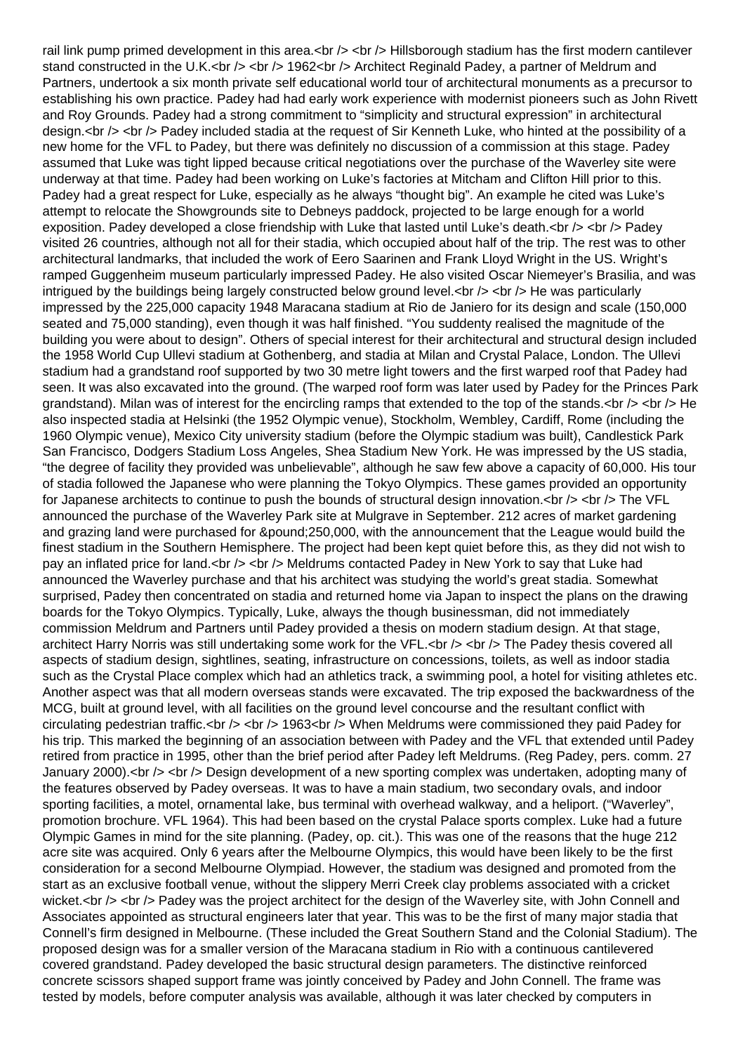rail link pump primed development in this area.<br /> <br /> We Hillsborough stadium has the first modern cantilever stand constructed in the U.K.<br />> <br />> 1962<br />
>>>> Architect Reginald Padey, a partner of Meldrum and Partners, undertook a six month private self educational world tour of architectural monuments as a precursor to establishing his own practice. Padey had had early work experience with modernist pioneers such as John Rivett and Roy Grounds. Padey had a strong commitment to "simplicity and structural expression" in architectural design.<br />> <br />> Padey included stadia at the request of Sir Kenneth Luke, who hinted at the possibility of a new home for the VFL to Padey, but there was definitely no discussion of a commission at this stage. Padey assumed that Luke was tight lipped because critical negotiations over the purchase of the Waverley site were underway at that time. Padey had been working on Luke's factories at Mitcham and Clifton Hill prior to this. Padey had a great respect for Luke, especially as he always "thought big". An example he cited was Luke's attempt to relocate the Showgrounds site to Debneys paddock, projected to be large enough for a world exposition. Padey developed a close friendship with Luke that lasted until Luke's death.<br />> <br />> <br />Padey visited 26 countries, although not all for their stadia, which occupied about half of the trip. The rest was to other architectural landmarks, that included the work of Eero Saarinen and Frank Lloyd Wright in the US. Wright's ramped Guggenheim museum particularly impressed Padey. He also visited Oscar Niemeyer's Brasilia, and was intrigued by the buildings being largely constructed below ground level. $\langle$ br  $/$ > $\langle$ br  $/$ > $\rangle$  He was particularly impressed by the 225,000 capacity 1948 Maracana stadium at Rio de Janiero for its design and scale (150,000 seated and 75,000 standing), even though it was half finished. "You suddenty realised the magnitude of the building you were about to design". Others of special interest for their architectural and structural design included the 1958 World Cup Ullevi stadium at Gothenberg, and stadia at Milan and Crystal Palace, London. The Ullevi stadium had a grandstand roof supported by two 30 metre light towers and the first warped roof that Padey had seen. It was also excavated into the ground. (The warped roof form was later used by Padey for the Princes Park grandstand). Milan was of interest for the encircling ramps that extended to the top of the stands. $\langle$ br  $/$ > $\rangle$  + He also inspected stadia at Helsinki (the 1952 Olympic venue), Stockholm, Wembley, Cardiff, Rome (including the 1960 Olympic venue), Mexico City university stadium (before the Olympic stadium was built), Candlestick Park San Francisco, Dodgers Stadium Loss Angeles, Shea Stadium New York. He was impressed by the US stadia, "the degree of facility they provided was unbelievable", although he saw few above a capacity of 60,000. His tour of stadia followed the Japanese who were planning the Tokyo Olympics. These games provided an opportunity for Japanese architects to continue to push the bounds of structural design innovation.  $\langle$ br  $/$   $>$  The VFL announced the purchase of the Waverley Park site at Mulgrave in September. 212 acres of market gardening and grazing land were purchased for &pound:250,000, with the announcement that the League would build the finest stadium in the Southern Hemisphere. The project had been kept quiet before this, as they did not wish to pay an inflated price for land.<br />> <br />> Meldrums contacted Padey in New York to say that Luke had announced the Waverley purchase and that his architect was studying the world's great stadia. Somewhat surprised, Padey then concentrated on stadia and returned home via Japan to inspect the plans on the drawing boards for the Tokyo Olympics. Typically, Luke, always the though businessman, did not immediately commission Meldrum and Partners until Padey provided a thesis on modern stadium design. At that stage, architect Harry Norris was still undertaking some work for the VFL.<br />> <br />> <br />The Padey thesis covered all aspects of stadium design, sightlines, seating, infrastructure on concessions, toilets, as well as indoor stadia such as the Crystal Place complex which had an athletics track, a swimming pool, a hotel for visiting athletes etc. Another aspect was that all modern overseas stands were excavated. The trip exposed the backwardness of the MCG, built at ground level, with all facilities on the ground level concourse and the resultant conflict with circulating pedestrian traffic.<br />>  $\zeta$  /> 1963<br />br /> When Meldrums were commissioned they paid Padey for his trip. This marked the beginning of an association between with Padey and the VFL that extended until Padey retired from practice in 1995, other than the brief period after Padey left Meldrums. (Reg Padey, pers. comm. 27 January 2000).<br /> <br />Design development of a new sporting complex was undertaken, adopting many of the features observed by Padey overseas. It was to have a main stadium, two secondary ovals, and indoor sporting facilities, a motel, ornamental lake, bus terminal with overhead walkway, and a heliport. ("Waverley", promotion brochure. VFL 1964). This had been based on the crystal Palace sports complex. Luke had a future Olympic Games in mind for the site planning. (Padey, op. cit.). This was one of the reasons that the huge 212 acre site was acquired. Only 6 years after the Melbourne Olympics, this would have been likely to be the first consideration for a second Melbourne Olympiad. However, the stadium was designed and promoted from the start as an exclusive football venue, without the slippery Merri Creek clay problems associated with a cricket wicket.<br />> <br />> Padey was the project architect for the design of the Waverley site, with John Connell and Associates appointed as structural engineers later that year. This was to be the first of many major stadia that Connell's firm designed in Melbourne. (These included the Great Southern Stand and the Colonial Stadium). The proposed design was for a smaller version of the Maracana stadium in Rio with a continuous cantilevered covered grandstand. Padey developed the basic structural design parameters. The distinctive reinforced concrete scissors shaped support frame was jointly conceived by Padey and John Connell. The frame was tested by models, before computer analysis was available, although it was later checked by computers in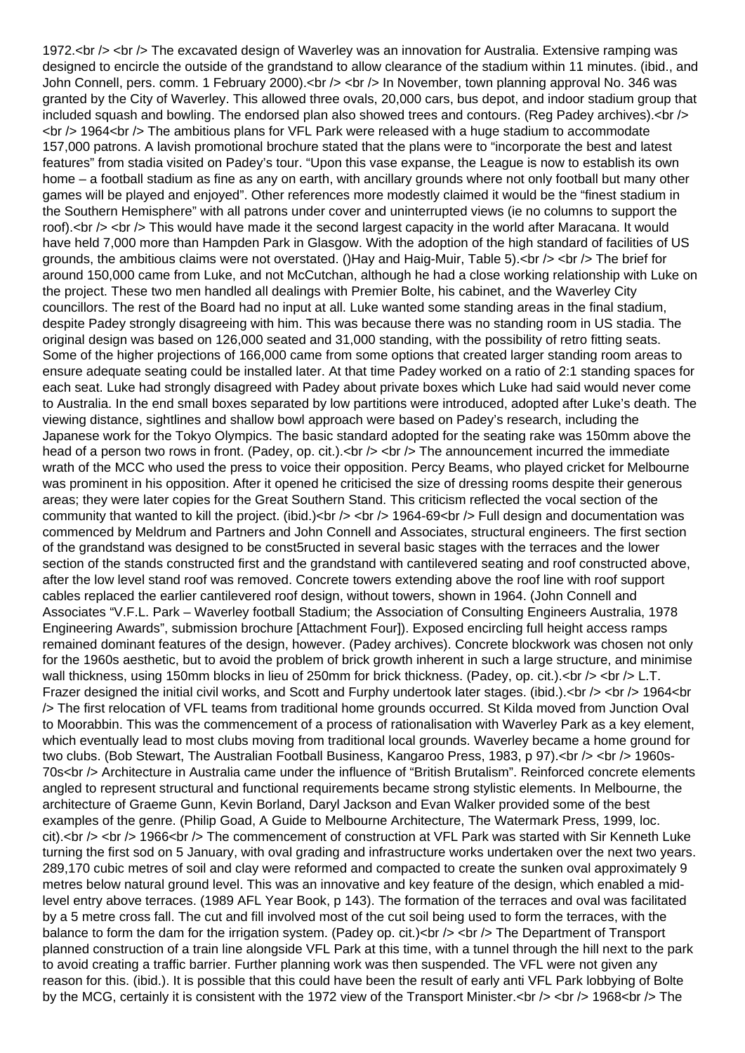1972.<br /> <br /> The excavated design of Waverley was an innovation for Australia. Extensive ramping was designed to encircle the outside of the grandstand to allow clearance of the stadium within 11 minutes. (ibid., and John Connell, pers. comm. 1 February 2000).<br /> $>$  <br />br /> In November, town planning approval No. 346 was granted by the City of Waverley. This allowed three ovals, 20,000 cars, bus depot, and indoor stadium group that included squash and bowling. The endorsed plan also showed trees and contours. (Reg Padey archives).<br />>  $\langle$ br  $/$ > 1964 $\langle$ br  $/$ > The ambitious plans for VFL Park were released with a huge stadium to accommodate 157,000 patrons. A lavish promotional brochure stated that the plans were to "incorporate the best and latest features" from stadia visited on Padey's tour. "Upon this vase expanse, the League is now to establish its own home – a football stadium as fine as any on earth, with ancillary grounds where not only football but many other games will be played and enjoyed". Other references more modestly claimed it would be the "finest stadium in the Southern Hemisphere" with all patrons under cover and uninterrupted views (ie no columns to support the roof).<br /> <br /> This would have made it the second largest capacity in the world after Maracana. It would have held 7,000 more than Hampden Park in Glasgow. With the adoption of the high standard of facilities of US grounds, the ambitious claims were not overstated. ()Hay and Haig-Muir, Table 5).<br /> <br /> The brief for around 150,000 came from Luke, and not McCutchan, although he had a close working relationship with Luke on the project. These two men handled all dealings with Premier Bolte, his cabinet, and the Waverley City councillors. The rest of the Board had no input at all. Luke wanted some standing areas in the final stadium, despite Padey strongly disagreeing with him. This was because there was no standing room in US stadia. The original design was based on 126,000 seated and 31,000 standing, with the possibility of retro fitting seats. Some of the higher projections of 166,000 came from some options that created larger standing room areas to ensure adequate seating could be installed later. At that time Padey worked on a ratio of 2:1 standing spaces for each seat. Luke had strongly disagreed with Padey about private boxes which Luke had said would never come to Australia. In the end small boxes separated by low partitions were introduced, adopted after Luke's death. The viewing distance, sightlines and shallow bowl approach were based on Padey's research, including the Japanese work for the Tokyo Olympics. The basic standard adopted for the seating rake was 150mm above the head of a person two rows in front. (Padey, op. cit.).<br />> <br />> The announcement incurred the immediate wrath of the MCC who used the press to voice their opposition. Percy Beams, who played cricket for Melbourne was prominent in his opposition. After it opened he criticised the size of dressing rooms despite their generous areas; they were later copies for the Great Southern Stand. This criticism reflected the vocal section of the community that wanted to kill the project. (ibid.) $<$ br  $/$ >  $<$ br  $/$ > 1964-69 $<$ br  $/$ > Full design and documentation was commenced by Meldrum and Partners and John Connell and Associates, structural engineers. The first section of the grandstand was designed to be const5ructed in several basic stages with the terraces and the lower section of the stands constructed first and the grandstand with cantilevered seating and roof constructed above, after the low level stand roof was removed. Concrete towers extending above the roof line with roof support cables replaced the earlier cantilevered roof design, without towers, shown in 1964. (John Connell and Associates "V.F.L. Park – Waverley football Stadium; the Association of Consulting Engineers Australia, 1978 Engineering Awards", submission brochure [Attachment Four]). Exposed encircling full height access ramps remained dominant features of the design, however. (Padey archives). Concrete blockwork was chosen not only for the 1960s aesthetic, but to avoid the problem of brick growth inherent in such a large structure, and minimise wall thickness, using 150mm blocks in lieu of 250mm for brick thickness. (Padey, op. cit.).<br />> <br />> L.T. Frazer designed the initial civil works, and Scott and Furphy undertook later stages. (ibid.).  $\langle$  br  $/$   $>$  1964 $\langle$ br /> The first relocation of VFL teams from traditional home grounds occurred. St Kilda moved from Junction Oval to Moorabbin. This was the commencement of a process of rationalisation with Waverley Park as a key element, which eventually lead to most clubs moving from traditional local grounds. Waverley became a home ground for two clubs. (Bob Stewart, The Australian Football Business, Kangaroo Press, 1983, p 97).<br />> <br />> 1960s-70s<br /> Architecture in Australia came under the influence of "British Brutalism". Reinforced concrete elements angled to represent structural and functional requirements became strong stylistic elements. In Melbourne, the architecture of Graeme Gunn, Kevin Borland, Daryl Jackson and Evan Walker provided some of the best examples of the genre. (Philip Goad, A Guide to Melbourne Architecture, The Watermark Press, 1999, loc. cit).<br /> <br /> 1966<br />>The commencement of construction at VFL Park was started with Sir Kenneth Luke turning the first sod on 5 January, with oval grading and infrastructure works undertaken over the next two years. 289,170 cubic metres of soil and clay were reformed and compacted to create the sunken oval approximately 9 metres below natural ground level. This was an innovative and key feature of the design, which enabled a midlevel entry above terraces. (1989 AFL Year Book, p 143). The formation of the terraces and oval was facilitated by a 5 metre cross fall. The cut and fill involved most of the cut soil being used to form the terraces, with the balance to form the dam for the irrigation system. (Padey op. cit.) < br /> < br /> The Department of Transport planned construction of a train line alongside VFL Park at this time, with a tunnel through the hill next to the park to avoid creating a traffic barrier. Further planning work was then suspended. The VFL were not given any reason for this. (ibid.). It is possible that this could have been the result of early anti VFL Park lobbying of Bolte by the MCG, certainly it is consistent with the 1972 view of the Transport Minister.  $\langle$ br  $/$   $>$  1968 $\langle$ br  $/$  The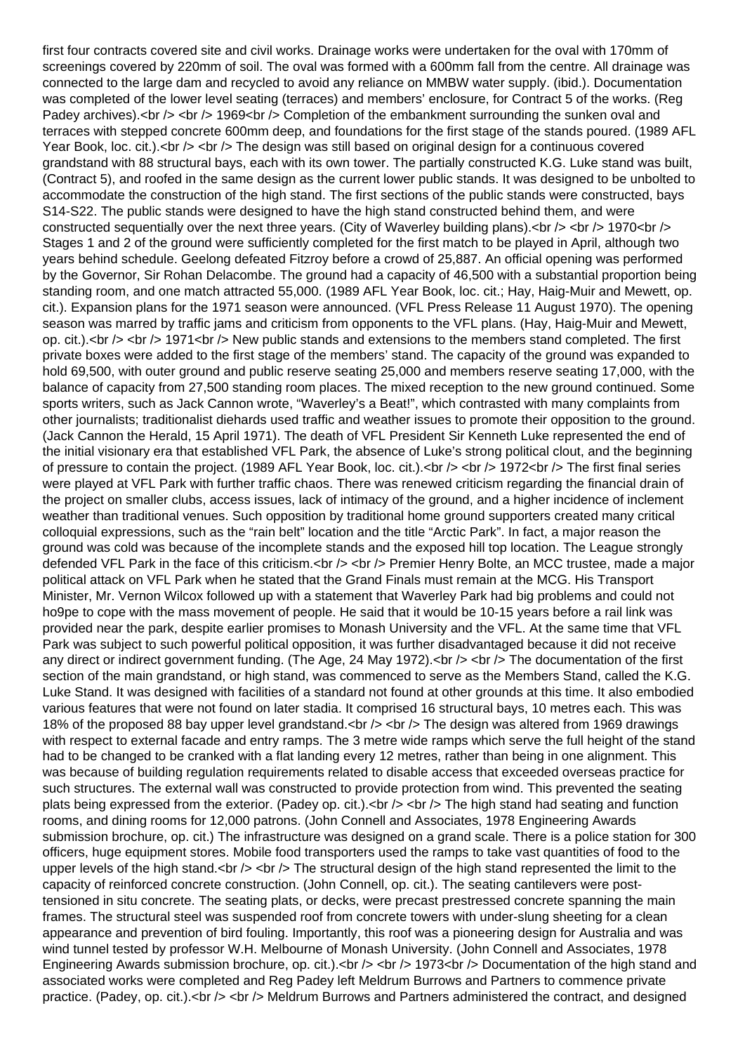first four contracts covered site and civil works. Drainage works were undertaken for the oval with 170mm of screenings covered by 220mm of soil. The oval was formed with a 600mm fall from the centre. All drainage was connected to the large dam and recycled to avoid any reliance on MMBW water supply. (ibid.). Documentation was completed of the lower level seating (terraces) and members' enclosure, for Contract 5 of the works. (Reg Padey archives).<br />> <br /> 1969<br />> Completion of the embankment surrounding the sunken oval and terraces with stepped concrete 600mm deep, and foundations for the first stage of the stands poured. (1989 AFL Year Book, loc. cit.). $\langle$ br  $\rangle$   $\langle$ br  $\rangle$  The design was still based on original design for a continuous covered grandstand with 88 structural bays, each with its own tower. The partially constructed K.G. Luke stand was built, (Contract 5), and roofed in the same design as the current lower public stands. It was designed to be unbolted to accommodate the construction of the high stand. The first sections of the public stands were constructed, bays S14-S22. The public stands were designed to have the high stand constructed behind them, and were constructed sequentially over the next three years. (City of Waverley building plans).  $\langle \text{dr} \rangle > \langle \text{dr} \rangle > 1970 \langle \text{dr} \rangle$ Stages 1 and 2 of the ground were sufficiently completed for the first match to be played in April, although two years behind schedule. Geelong defeated Fitzroy before a crowd of 25,887. An official opening was performed by the Governor, Sir Rohan Delacombe. The ground had a capacity of 46,500 with a substantial proportion being standing room, and one match attracted 55,000. (1989 AFL Year Book, loc. cit.; Hay, Haig-Muir and Mewett, op. cit.). Expansion plans for the 1971 season were announced. (VFL Press Release 11 August 1970). The opening season was marred by traffic jams and criticism from opponents to the VFL plans. (Hay, Haig-Muir and Mewett, op. cit.). $\text{ch } t$   $\gt$   $\text{ch } t$  1971 $\text{ch } t$  New public stands and extensions to the members stand completed. The first private boxes were added to the first stage of the members' stand. The capacity of the ground was expanded to hold 69,500, with outer ground and public reserve seating 25,000 and members reserve seating 17,000, with the balance of capacity from 27,500 standing room places. The mixed reception to the new ground continued. Some sports writers, such as Jack Cannon wrote, "Waverley's a Beat!", which contrasted with many complaints from other journalists; traditionalist diehards used traffic and weather issues to promote their opposition to the ground. (Jack Cannon the Herald, 15 April 1971). The death of VFL President Sir Kenneth Luke represented the end of the initial visionary era that established VFL Park, the absence of Luke's strong political clout, and the beginning of pressure to contain the project. (1989 AFL Year Book, loc. cit.). < br /> < br /> 1972<br /> The first final series were played at VFL Park with further traffic chaos. There was renewed criticism regarding the financial drain of the project on smaller clubs, access issues, lack of intimacy of the ground, and a higher incidence of inclement weather than traditional venues. Such opposition by traditional home ground supporters created many critical colloquial expressions, such as the "rain belt" location and the title "Arctic Park". In fact, a major reason the ground was cold was because of the incomplete stands and the exposed hill top location. The League strongly defended VFL Park in the face of this criticism.<br />> <br />> Premier Henry Bolte, an MCC trustee, made a major political attack on VFL Park when he stated that the Grand Finals must remain at the MCG. His Transport Minister, Mr. Vernon Wilcox followed up with a statement that Waverley Park had big problems and could not ho9pe to cope with the mass movement of people. He said that it would be 10-15 years before a rail link was provided near the park, despite earlier promises to Monash University and the VFL. At the same time that VFL Park was subject to such powerful political opposition, it was further disadvantaged because it did not receive any direct or indirect government funding. (The Age, 24 May 1972). < br />> < br /> The documentation of the first section of the main grandstand, or high stand, was commenced to serve as the Members Stand, called the K.G. Luke Stand. It was designed with facilities of a standard not found at other grounds at this time. It also embodied various features that were not found on later stadia. It comprised 16 structural bays, 10 metres each. This was 18% of the proposed 88 bay upper level grandstand.<br />  $>$  <br /> The design was altered from 1969 drawings with respect to external facade and entry ramps. The 3 metre wide ramps which serve the full height of the stand had to be changed to be cranked with a flat landing every 12 metres, rather than being in one alignment. This was because of building regulation requirements related to disable access that exceeded overseas practice for such structures. The external wall was constructed to provide protection from wind. This prevented the seating plats being expressed from the exterior. (Padey op. cit.).  $\langle$ br  $/$ >  $\langle$ br  $/$  The high stand had seating and function rooms, and dining rooms for 12,000 patrons. (John Connell and Associates, 1978 Engineering Awards submission brochure, op. cit.) The infrastructure was designed on a grand scale. There is a police station for 300 officers, huge equipment stores. Mobile food transporters used the ramps to take vast quantities of food to the upper levels of the high stand.<br />> <br />> The structural design of the high stand represented the limit to the capacity of reinforced concrete construction. (John Connell, op. cit.). The seating cantilevers were posttensioned in situ concrete. The seating plats, or decks, were precast prestressed concrete spanning the main frames. The structural steel was suspended roof from concrete towers with under-slung sheeting for a clean appearance and prevention of bird fouling. Importantly, this roof was a pioneering design for Australia and was wind tunnel tested by professor W.H. Melbourne of Monash University. (John Connell and Associates, 1978 Engineering Awards submission brochure, op. cit.).  $\langle$ br />  $\langle$ br /> 1973 $\langle$ br /> Documentation of the high stand and associated works were completed and Reg Padey left Meldrum Burrows and Partners to commence private practice. (Padey, op. cit.).<br />> <br />Meldrum Burrows and Partners administered the contract, and designed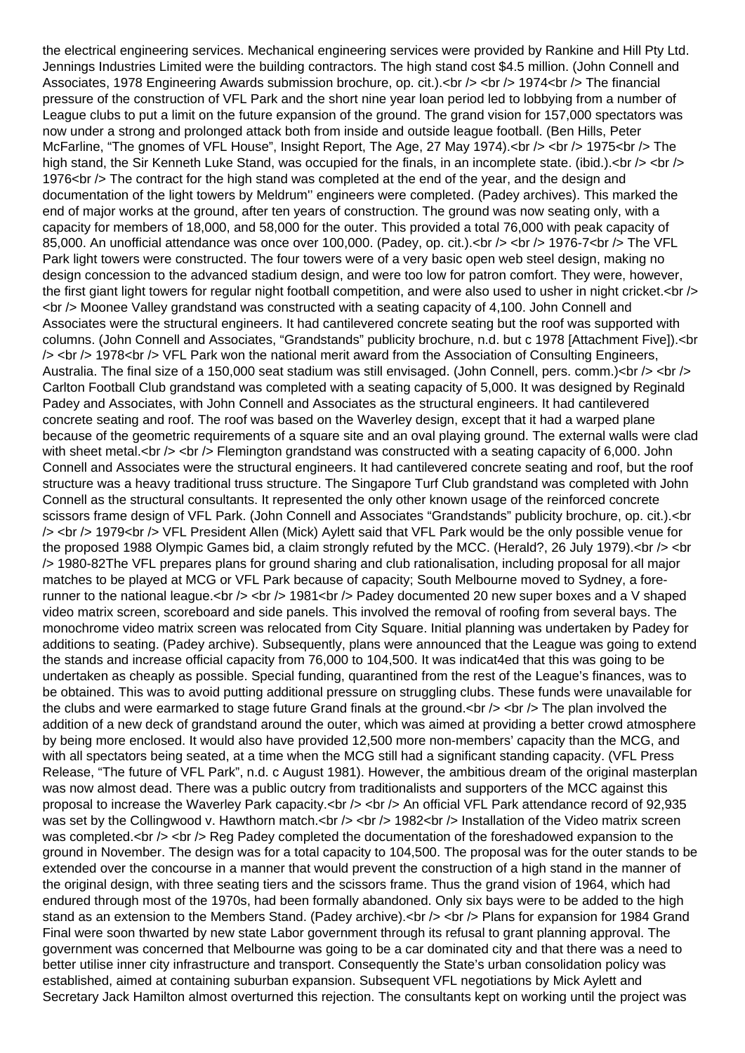the electrical engineering services. Mechanical engineering services were provided by Rankine and Hill Pty Ltd. Jennings Industries Limited were the building contractors. The high stand cost \$4.5 million. (John Connell and Associates, 1978 Engineering Awards submission brochure, op. cit.).<br />> <br />> /> 1974<br />br /> The financial pressure of the construction of VFL Park and the short nine year loan period led to lobbying from a number of League clubs to put a limit on the future expansion of the ground. The grand vision for 157,000 spectators was now under a strong and prolonged attack both from inside and outside league football. (Ben Hills, Peter McFarline, "The gnomes of VFL House", Insight Report, The Age, 27 May 1974). < br />> < br /> 1975< br /> The high stand, the Sir Kenneth Luke Stand, was occupied for the finals, in an incomplete state. (ibid.). < br  $\ge$  < br  $\ge$ 1976<br />>>>>> The contract for the high stand was completed at the end of the year, and the design and documentation of the light towers by Meldrum'' engineers were completed. (Padey archives). This marked the end of major works at the ground, after ten years of construction. The ground was now seating only, with a capacity for members of 18,000, and 58,000 for the outer. This provided a total 76,000 with peak capacity of 85,000. An unofficial attendance was once over 100,000. (Padey, op. cit.).<br />> <br />> <br /> 1976-7<br />> The VFL Park light towers were constructed. The four towers were of a very basic open web steel design, making no design concession to the advanced stadium design, and were too low for patron comfort. They were, however, the first giant light towers for regular night football competition, and were also used to usher in night cricket.<br />> <br /> Moonee Valley grandstand was constructed with a seating capacity of 4,100. John Connell and Associates were the structural engineers. It had cantilevered concrete seating but the roof was supported with columns. (John Connell and Associates, "Grandstands" publicity brochure, n.d. but c 1978 [Attachment Five]).<br /> <br /> 1978<br /> VFL Park won the national merit award from the Association of Consulting Engineers, Australia. The final size of a 150,000 seat stadium was still envisaged. (John Connell, pers. comm.) $\langle$ br  $/$   $>$   $\langle$ br  $/$ Carlton Football Club grandstand was completed with a seating capacity of 5,000. It was designed by Reginald Padey and Associates, with John Connell and Associates as the structural engineers. It had cantilevered concrete seating and roof. The roof was based on the Waverley design, except that it had a warped plane because of the geometric requirements of a square site and an oval playing ground. The external walls were clad with sheet metal.<br /> <br /> Flemington grandstand was constructed with a seating capacity of 6,000. John Connell and Associates were the structural engineers. It had cantilevered concrete seating and roof, but the roof structure was a heavy traditional truss structure. The Singapore Turf Club grandstand was completed with John Connell as the structural consultants. It represented the only other known usage of the reinforced concrete scissors frame design of VFL Park. (John Connell and Associates "Grandstands" publicity brochure, op. cit.).<br /> <br /> 1979<br /> VFL President Allen (Mick) Aylett said that VFL Park would be the only possible venue for the proposed 1988 Olympic Games bid, a claim strongly refuted by the MCC. (Herald?, 26 July 1979). $\lt$ hr />  $\lt$ hr /> 1980-82The VFL prepares plans for ground sharing and club rationalisation, including proposal for all major matches to be played at MCG or VFL Park because of capacity; South Melbourne moved to Sydney, a forerunner to the national league.<br  $/$  > <br  $/$  > 1981<br  $/$  Padey documented 20 new super boxes and a V shaped video matrix screen, scoreboard and side panels. This involved the removal of roofing from several bays. The monochrome video matrix screen was relocated from City Square. Initial planning was undertaken by Padey for additions to seating. (Padey archive). Subsequently, plans were announced that the League was going to extend the stands and increase official capacity from 76,000 to 104,500. It was indicat4ed that this was going to be undertaken as cheaply as possible. Special funding, quarantined from the rest of the League's finances, was to be obtained. This was to avoid putting additional pressure on struggling clubs. These funds were unavailable for the clubs and were earmarked to stage future Grand finals at the ground.  $\langle$ br  $/$ >  $\langle$ br  $/$ > The plan involved the addition of a new deck of grandstand around the outer, which was aimed at providing a better crowd atmosphere by being more enclosed. It would also have provided 12,500 more non-members' capacity than the MCG, and with all spectators being seated, at a time when the MCG still had a significant standing capacity. (VFL Press Release, "The future of VFL Park", n.d. c August 1981). However, the ambitious dream of the original masterplan was now almost dead. There was a public outcry from traditionalists and supporters of the MCC against this proposal to increase the Waverley Park capacity.<br />> < br /> An official VFL Park attendance record of 92,935 was set by the Collingwood v. Hawthorn match.<br />> <br />  $\frac{1}{2}$  1982<br /> Installation of the Video matrix screen was completed.<br />> <br />> <br />Reg Padey completed the documentation of the foreshadowed expansion to the ground in November. The design was for a total capacity to 104,500. The proposal was for the outer stands to be extended over the concourse in a manner that would prevent the construction of a high stand in the manner of the original design, with three seating tiers and the scissors frame. Thus the grand vision of 1964, which had endured through most of the 1970s, had been formally abandoned. Only six bays were to be added to the high stand as an extension to the Members Stand. (Padey archive).<br />> <br />> <br />Plans for expansion for 1984 Grand Final were soon thwarted by new state Labor government through its refusal to grant planning approval. The government was concerned that Melbourne was going to be a car dominated city and that there was a need to better utilise inner city infrastructure and transport. Consequently the State's urban consolidation policy was established, aimed at containing suburban expansion. Subsequent VFL negotiations by Mick Aylett and Secretary Jack Hamilton almost overturned this rejection. The consultants kept on working until the project was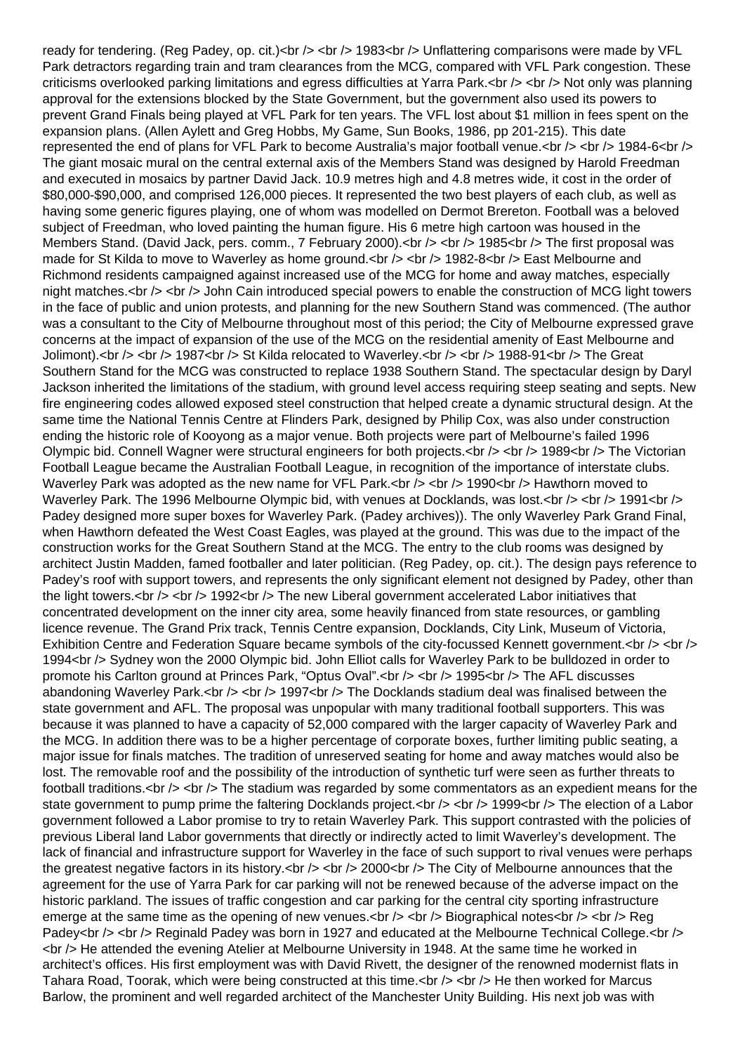ready for tendering. (Reg Padey, op. cit.)<br />>  $\zeta$  /> 1983<br />> Unflattering comparisons were made by VFL Park detractors regarding train and tram clearances from the MCG, compared with VFL Park congestion. These criticisms overlooked parking limitations and egress difficulties at Yarra Park.<br />> <br />> <br />> Not only was planning approval for the extensions blocked by the State Government, but the government also used its powers to prevent Grand Finals being played at VFL Park for ten years. The VFL lost about \$1 million in fees spent on the expansion plans. (Allen Aylett and Greg Hobbs, My Game, Sun Books, 1986, pp 201-215). This date represented the end of plans for VFL Park to become Australia's major football venue. $\langle$ br / $>$   $\langle$ br / $>$  1984-6 $\langle$ br / $>$ The giant mosaic mural on the central external axis of the Members Stand was designed by Harold Freedman and executed in mosaics by partner David Jack. 10.9 metres high and 4.8 metres wide, it cost in the order of \$80,000-\$90,000, and comprised 126,000 pieces. It represented the two best players of each club, as well as having some generic figures playing, one of whom was modelled on Dermot Brereton. Football was a beloved subject of Freedman, who loved painting the human figure. His 6 metre high cartoon was housed in the Members Stand. (David Jack, pers. comm., 7 February 2000).<br />> <br />> <br /> 1985<br />> The first proposal was made for St Kilda to move to Waverley as home ground.<br />> < br />> < 1982-8< br />> East Melbourne and Richmond residents campaigned against increased use of the MCG for home and away matches, especially night matches.<br /> <br /> John Cain introduced special powers to enable the construction of MCG light towers in the face of public and union protests, and planning for the new Southern Stand was commenced. (The author was a consultant to the City of Melbourne throughout most of this period; the City of Melbourne expressed grave concerns at the impact of expansion of the use of the MCG on the residential amenity of East Melbourne and Jolimont).<br />> <br /> 1987<br />>  $\leq$  St Kilda relocated to Waverley.<br />>  $\leq$   $\leq$   $\leq$  1988-91<br />> The Great Southern Stand for the MCG was constructed to replace 1938 Southern Stand. The spectacular design by Daryl Jackson inherited the limitations of the stadium, with ground level access requiring steep seating and septs. New fire engineering codes allowed exposed steel construction that helped create a dynamic structural design. At the same time the National Tennis Centre at Flinders Park, designed by Philip Cox, was also under construction ending the historic role of Kooyong as a major venue. Both projects were part of Melbourne's failed 1996 Olympic bid. Connell Wagner were structural engineers for both projects.<br />> <br />> <br /> 1989<br />br /> The Victorian Football League became the Australian Football League, in recognition of the importance of interstate clubs. Waverley Park was adopted as the new name for VFL Park.<br />> < br />> < 1990<br />br /> Hawthorn moved to Waverley Park. The 1996 Melbourne Olympic bid, with venues at Docklands, was lost. < br /> < br /> 1991<br />>/> Padey designed more super boxes for Waverley Park. (Padey archives)). The only Waverley Park Grand Final, when Hawthorn defeated the West Coast Eagles, was played at the ground. This was due to the impact of the construction works for the Great Southern Stand at the MCG. The entry to the club rooms was designed by architect Justin Madden, famed footballer and later politician. (Reg Padey, op. cit.). The design pays reference to Padey's roof with support towers, and represents the only significant element not designed by Padey, other than the light towers.<br />> <br />>  $\geq$  1992<br /> $\geq$  The new Liberal government accelerated Labor initiatives that concentrated development on the inner city area, some heavily financed from state resources, or gambling licence revenue. The Grand Prix track, Tennis Centre expansion, Docklands, City Link, Museum of Victoria, Exhibition Centre and Federation Square became symbols of the city-focussed Kennett government.<br />> <br /> 1994<br /> Sydney won the 2000 Olympic bid. John Elliot calls for Waverley Park to be bulldozed in order to promote his Carlton ground at Princes Park, "Optus Oval".<br />> <br />> <br /> 1995<br />br /> The AFL discusses abandoning Waverley Park.<br />> <br />> <br /> 1997<br />
>>
The Docklands stadium deal was finalised between the state government and AFL. The proposal was unpopular with many traditional football supporters. This was because it was planned to have a capacity of 52,000 compared with the larger capacity of Waverley Park and the MCG. In addition there was to be a higher percentage of corporate boxes, further limiting public seating, a major issue for finals matches. The tradition of unreserved seating for home and away matches would also be lost. The removable roof and the possibility of the introduction of synthetic turf were seen as further threats to football traditions.<br /> <br /> The stadium was regarded by some commentators as an expedient means for the state government to pump prime the faltering Docklands project.<br />> <br />> <br /> 1999<br />br /> The election of a Labor government followed a Labor promise to try to retain Waverley Park. This support contrasted with the policies of previous Liberal land Labor governments that directly or indirectly acted to limit Waverley's development. The lack of financial and infrastructure support for Waverley in the face of such support to rival venues were perhaps the greatest negative factors in its history.<br />> <br />> <br />> 2000<br />> /> The City of Melbourne announces that the agreement for the use of Yarra Park for car parking will not be renewed because of the adverse impact on the historic parkland. The issues of traffic congestion and car parking for the central city sporting infrastructure emerge at the same time as the opening of new venues.<br />> /> <br />> <br />
Biographical notes<br />> /> <br />
Reg Padey<br /> <br />> Reginald Padey was born in 1927 and educated at the Melbourne Technical College.<br /> <br /> He attended the evening Atelier at Melbourne University in 1948. At the same time he worked in architect's offices. His first employment was with David Rivett, the designer of the renowned modernist flats in Tahara Road, Toorak, which were being constructed at this time.<br />> <br />> He then worked for Marcus Barlow, the prominent and well regarded architect of the Manchester Unity Building. His next job was with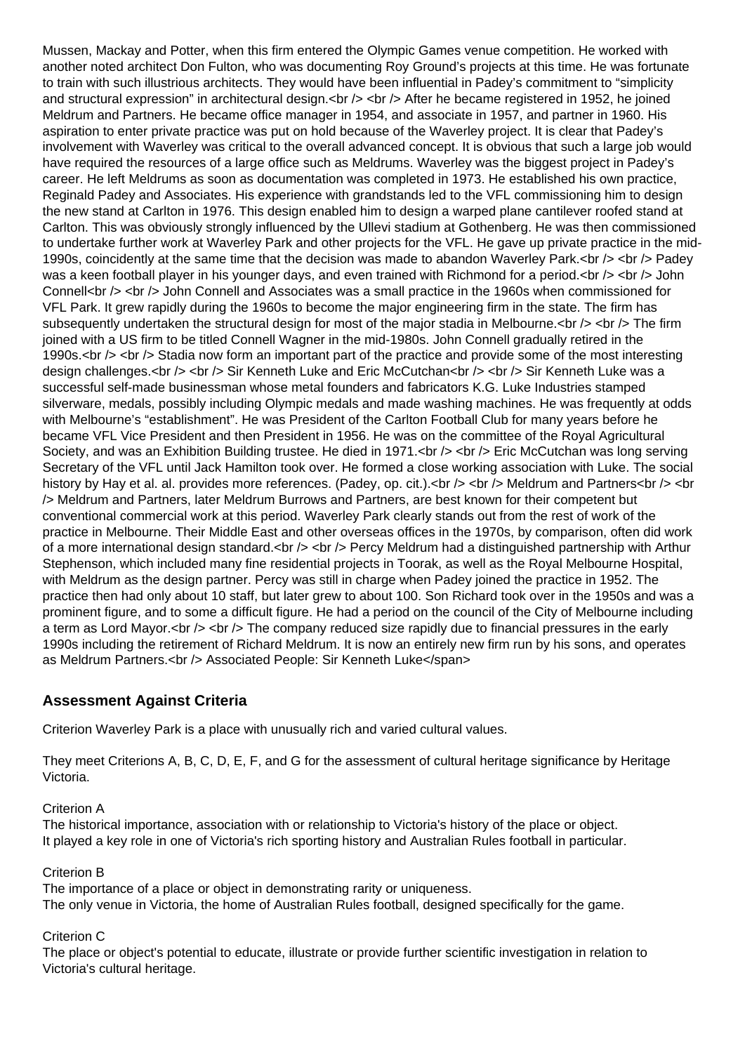Mussen, Mackay and Potter, when this firm entered the Olympic Games venue competition. He worked with another noted architect Don Fulton, who was documenting Roy Ground's projects at this time. He was fortunate to train with such illustrious architects. They would have been influential in Padey's commitment to "simplicity and structural expression" in architectural design.<br />> <br />> <br />> After he became registered in 1952, he joined Meldrum and Partners. He became office manager in 1954, and associate in 1957, and partner in 1960. His aspiration to enter private practice was put on hold because of the Waverley project. It is clear that Padey's involvement with Waverley was critical to the overall advanced concept. It is obvious that such a large job would have required the resources of a large office such as Meldrums. Waverley was the biggest project in Padey's career. He left Meldrums as soon as documentation was completed in 1973. He established his own practice, Reginald Padey and Associates. His experience with grandstands led to the VFL commissioning him to design the new stand at Carlton in 1976. This design enabled him to design a warped plane cantilever roofed stand at Carlton. This was obviously strongly influenced by the Ullevi stadium at Gothenberg. He was then commissioned to undertake further work at Waverley Park and other projects for the VFL. He gave up private practice in the mid-1990s, coincidently at the same time that the decision was made to abandon Waverley Park.<br />>>> <br />> Padey was a keen football player in his younger days, and even trained with Richmond for a period.<br />> <br />> John Connell<br /> <br /> John Connell and Associates was a small practice in the 1960s when commissioned for VFL Park. It grew rapidly during the 1960s to become the major engineering firm in the state. The firm has subsequently undertaken the structural design for most of the major stadia in Melbourne.<br />>>> <br />> The firm joined with a US firm to be titled Connell Wagner in the mid-1980s. John Connell gradually retired in the 1990s.<br /> <br /> Stadia now form an important part of the practice and provide some of the most interesting design challenges.<br />> <br />> Sir Kenneth Luke and Eric McCutchan<br />> /> <br />> Sir Kenneth Luke was a successful self-made businessman whose metal founders and fabricators K.G. Luke Industries stamped silverware, medals, possibly including Olympic medals and made washing machines. He was frequently at odds with Melbourne's "establishment". He was President of the Carlton Football Club for many years before he became VFL Vice President and then President in 1956. He was on the committee of the Royal Agricultural Society, and was an Exhibition Building trustee. He died in 1971.<br />> <br /> Eric McCutchan was long serving Secretary of the VFL until Jack Hamilton took over. He formed a close working association with Luke. The social history by Hay et al. al. provides more references. (Padey, op. cit.).<br />> <br /> Meldrum and Partners<br />> <br />> /> Meldrum and Partners, later Meldrum Burrows and Partners, are best known for their competent but conventional commercial work at this period. Waverley Park clearly stands out from the rest of work of the practice in Melbourne. Their Middle East and other overseas offices in the 1970s, by comparison, often did work of a more international design standard.<br /> <br /> > Percy Meldrum had a distinguished partnership with Arthur Stephenson, which included many fine residential projects in Toorak, as well as the Royal Melbourne Hospital, with Meldrum as the design partner. Percy was still in charge when Padey joined the practice in 1952. The practice then had only about 10 staff, but later grew to about 100. Son Richard took over in the 1950s and was a prominent figure, and to some a difficult figure. He had a period on the council of the City of Melbourne including a term as Lord Mayor.  $\langle$ br  $\rangle$   $\sim$   $\langle$ br  $\rangle$  The company reduced size rapidly due to financial pressures in the early 1990s including the retirement of Richard Meldrum. It is now an entirely new firm run by his sons, and operates as Meldrum Partners.<br />
lextlessionated People: Sir Kenneth Luke</span>

# **Assessment Against Criteria**

Criterion Waverley Park is a place with unusually rich and varied cultural values.

They meet Criterions A, B, C, D, E, F, and G for the assessment of cultural heritage significance by Heritage Victoria.

#### Criterion A

The historical importance, association with or relationship to Victoria's history of the place or object. It played a key role in one of Victoria's rich sporting history and Australian Rules football in particular.

#### Criterion B

The importance of a place or object in demonstrating rarity or uniqueness. The only venue in Victoria, the home of Australian Rules football, designed specifically for the game.

## Criterion C

The place or object's potential to educate, illustrate or provide further scientific investigation in relation to Victoria's cultural heritage.